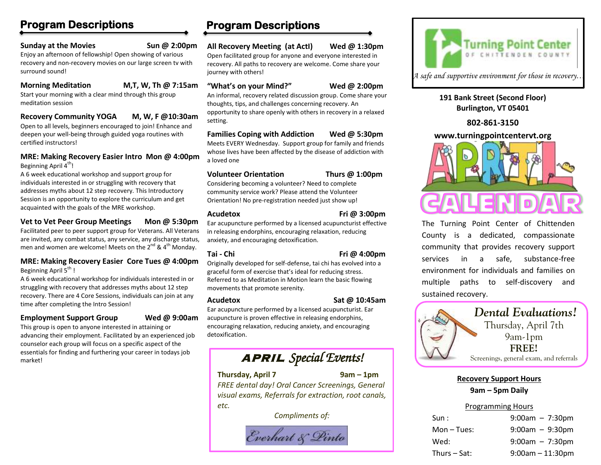## **Program Descriptions**

#### **Sunday at the Movies Sun @ 2:00pm**

Enjoy an afternoon of fellowship! Open showing of various recovery and non-recovery movies on our large screen tv with surround sound!

#### **Morning Meditation M,T, W, Th @ 7:15am**

Start your morning with a clear mind through this group meditation session

#### **Recovery Community YOGA M, W, F @10:30am**

Open to all levels, beginners encouraged to join! Enhance and deepen your well-being through guided yoga routines with certified instructors!

#### **MRE: Making Recovery Easier Intro Mon @ 4:00pm** Beginning April 4<sup>th</sup>!

A 6 week educational workshop and support group for individuals interested in or struggling with recovery that addresses myths about 12 step recovery. This Introductory Session is an opportunity to explore the curriculum and get acquainted with the goals of the MRE workshop.

### **Vet to Vet Peer Group Meetings Mon @ 5:30pm**

Facilitated peer to peer support group for Veterans. All Veterans are invited, any combat status, any service, any discharge status, men and women are welcome! Meets on the  $2^{nd}$  &  $4^{th}$  Monday.

#### **MRE: Making Recovery Easier Core Tues @ 4:00pm** Beginning April 5<sup>th</sup>!

A 6 week educational workshop for individuals interested in or struggling with recovery that addresses myths about 12 step recovery. There are 4 Core Sessions, individuals can join at any time after completing the Intro Session!

#### **Employment Support Group Wed @ 9:00am**

This group is open to anyone interested in attaining or advancing their employment. Facilitated by an experienced job counselor each group will focus on a specific aspect of the essentials for finding and furthering your career in todays job market!

# **Program Descriptions**

#### **All Recovery Meeting (at ActI) Wed @ 1:30pm**

Open facilitated group for anyone and everyone interested in recovery. All paths to recovery are welcome. Come share your journey with others!

#### **"What's on your Mind?" Wed @ 2:00pm**

An informal, recovery related discussion group. Come share your thoughts, tips, and challenges concerning recovery. An opportunity to share openly with others in recovery in a relaxed setting.

# **Families Coping with Addiction Wed @ 5:30pm**

Meets EVERY Wednesday. Support group for family and friends whose lives have been affected by the disease of addiction with a loved one

#### **Volunteer Orientation Thurs @ 1:00pm**

Considering becoming a volunteer? Need to complete community service work? Please attend the Volunteer Orientation! No pre-registration needed just show up!

#### **Acudetox Fri @ 3:00pm**

Ear acupuncture performed by a licensed acupuncturist effective in releasing endorphins, encouraging relaxation, reducing anxiety, and encouraging detoxification.

**Tai - Chi Fri @ 4:00pm**

Originally developed for self-defense, tai chi has evolved into a graceful form of exercise that's ideal for reducing stress. Referred to as Meditation in Motion learn the basic flowing movements that promote serenity.

#### **Acudetox Sat @ 10:45am**

Ear acupuncture performed by a licensed acupuncturist. Ear acupuncture is proven effective in releasing endorphins, encouraging relaxation, reducing anxiety, and encouraging detoxification.

# APRIL *Special Events!*

#### **Thursday, April 7 9am – 1pm**

*FREE dental day! Oral Cancer Screenings, General visual exams, Referrals for extraction, root canals, etc.* 

*Compliments of:*

Everhart & Pinto



**191 Bank Street (Second Floor) Burlington, VT 05401**

**802-861-3150**

#### **www.turningpointcentervt.org**



The Turning Point Center of Chittenden County is a dedicated, compassionate community that provides recovery support services in a safe, substance-free environment for individuals and families on multiple paths to self-discovery and sustained recovery.



#### **Recovery Support Hours 9am – 5pm Daily**

#### Programming Hours

| Sun:           | $9:00am - 7:30pm$     |
|----------------|-----------------------|
|                |                       |
| $Mon-Tues:$    | $9:00am - 9:30pm$     |
| Wed:           | $9:00am - 7:30pm$     |
| Thurs $-$ Sat: | $9:00$ am $-11:30$ pm |